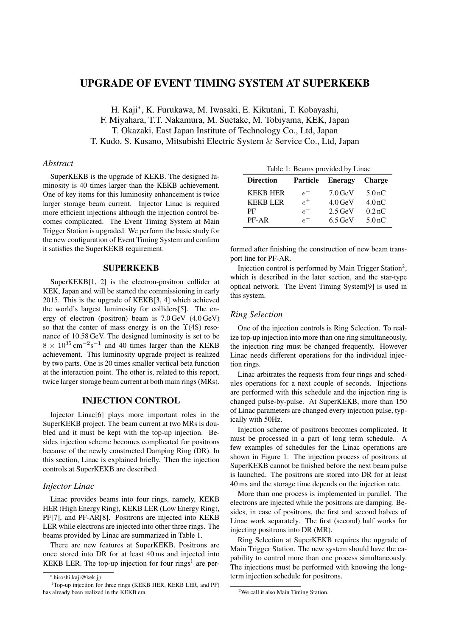# UPGRADE OF EVENT TIMING SYSTEM AT SUPERKEKB

H. Kaji*<sup>∗</sup>* , K. Furukawa, M. Iwasaki, E. Kikutani, T. Kobayashi, F. Miyahara, T.T. Nakamura, M. Suetake, M. Tobiyama, KEK, Japan T. Okazaki, East Japan Institute of Technology Co., Ltd, Japan T. Kudo, S. Kusano, Mitsubishi Electric System & Service Co., Ltd, Japan

## *Abstract*

SuperKEKB is the upgrade of KEKB. The designed luminosity is 40 times larger than the KEKB achievement. One of key items for this luminosity enhancement is twice larger storage beam current. Injector Linac is required more efficient injections although the injection control becomes complicated. The Event Timing System at Main Trigger Station is upgraded. We perform the basic study for the new configuration of Event Timing System and confirm it satisfies the SuperKEKB requirement.

# SUPERKEKB

SuperKEKB[1, 2] is the electron-positron collider at KEK, Japan and will be started the commissioning in early 2015. This is the upgrade of KEKB[3, 4] which achieved the world's largest luminosity for colliders[5]. The energy of electron (positron) beam is 7.0 GeV (4.0 GeV) so that the center of mass energy is on the  $\Upsilon(4S)$  resonance of 10.58 GeV. The designed luminosity is set to be <sup>8</sup> *<sup>×</sup>* <sup>10</sup><sup>35</sup> cm*−*<sup>2</sup> s *−*1 and 40 times larger than the KEKB achievement. This luminosity upgrade project is realized by two parts. One is 20 times smaller vertical beta function at the interaction point. The other is, related to this report, twice larger storage beam current at both main rings (MRs).

# INJECTION CONTROL

Injector Linac[6] plays more important roles in the SuperKEKB project. The beam current at two MRs is doubled and it must be kept with the top-up injection. Besides injection scheme becomes complicated for positrons because of the newly constructed Damping Ring (DR). In this section, Linac is explained briefly. Then the injection controls at SuperKEKB are described.

#### *Injector Linac*

Linac provides beams into four rings, namely, KEKB HER (High Energy Ring), KEKB LER (Low Energy Ring), PF[7], and PF-AR[8]. Positrons are injected into KEKB LER while electrons are injected into other three rings. The beams provided by Linac are summarized in Table 1.

There are new features at SuperKEKB. Positrons are once stored into DR for at least 40 ms and injected into KEKB LER. The top-up injection for four rings<sup>1</sup> are per-

|  |  |  | Table 1: Beams provided by Linac |  |  |
|--|--|--|----------------------------------|--|--|
|--|--|--|----------------------------------|--|--|

| <b>Direction</b> | <b>Particle</b> | <b>Eneragy</b>       | <b>Charge</b>     |
|------------------|-----------------|----------------------|-------------------|
| <b>KEKB HER</b>  | $e^{-}$         | $7.0$ GeV            | 5.0 <sub>nC</sub> |
| <b>KEKBLER</b>   | $\rho^+$        | $4.0$ GeV            | 4.0 <sub>nC</sub> |
| PF               | $e^{-}$         | $2.5 \,\mathrm{GeV}$ | 0.2 <sub>nC</sub> |
| $PF-AR$          | $e^{-}$         | $6.5$ GeV            | 5.0 <sub>nC</sub> |

formed after finishing the construction of new beam transport line for PF-AR.

Injection control is performed by Main Trigger Station<sup>2</sup>, which is described in the later section, and the star-type optical network. The Event Timing System[9] is used in this system.

## *Ring Selection*

One of the injection controls is Ring Selection. To realize top-up injection into more than one ring simultaneously, the injection ring must be changed frequently. However Linac needs different operations for the individual injection rings.

Linac arbitrates the requests from four rings and schedules operations for a next couple of seconds. Injections are performed with this schedule and the injection ring is changed pulse-by-pulse. At SuperKEKB, more than 150 of Linac parameters are changed every injection pulse, typically with 50Hz.

Injection scheme of positrons becomes complicated. It must be processed in a part of long term schedule. A few examples of schedules for the Linac operations are shown in Figure 1. The injection process of positrons at SuperKEKB cannot be finished before the next beam pulse is launched. The positrons are stored into DR for at least 40 ms and the storage time depends on the injection rate.

More than one process is implemented in parallel. The electrons are injected while the positrons are damping. Besides, in case of positrons, the first and second halves of Linac work separately. The first (second) half works for injecting positrons into DR (MR).

Ring Selection at SuperKEKB requires the upgrade of Main Trigger Station. The new system should have the capability to control more than one process simultaneously. The injections must be performed with knowing the longterm injection schedule for positrons.

*<sup>∗</sup>* hiroshi.kaji@kek.jp

<sup>1</sup>Top-up injection for three rings (KEKB HER, KEKB LER, and PF) has already been realized in the KEKB era.

<sup>&</sup>lt;sup>2</sup>We call it also Main Timing Station.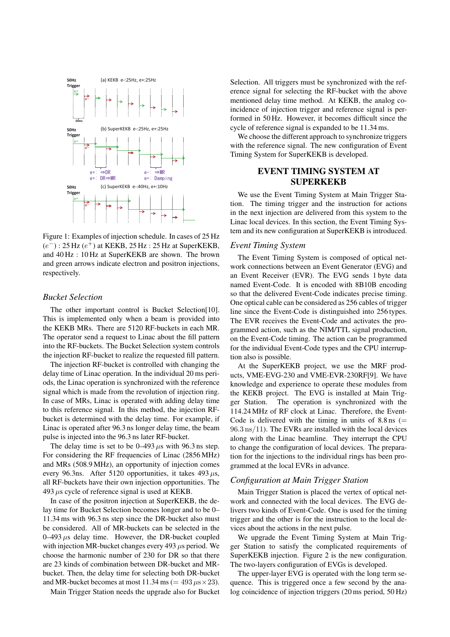

Figure 1: Examples of injection schedule. In cases of 25 Hz (*e <sup>−</sup>*) : 25 Hz (*e* <sup>+</sup>) at KEKB, 25 Hz : 25 Hz at SuperKEKB, and 40 Hz : 10 Hz at SuperKEKB are shown. The brown and green arrows indicate electron and positron injections, respectively.

## *Bucket Selection*

The other important control is Bucket Selection[10]. This is implemented only when a beam is provided into the KEKB MRs. There are 5120 RF-buckets in each MR. The operator send a request to Linac about the fill pattern into the RF-buckets. The Bucket Selection system controls the injection RF-bucket to realize the requested fill pattern.

The injection RF-bucket is controlled with changing the delay time of Linac operation. In the individual 20 ms periods, the Linac operation is synchronized with the reference signal which is made from the revolution of injection ring. In case of MRs, Linac is operated with adding delay time to this reference signal. In this method, the injection RFbucket is determined with the delay time. For example, if Linac is operated after 96.3 ns longer delay time, the beam pulse is injected into the 96.3 ns later RF-bucket.

The delay time is set to be  $0-493 \mu s$  with 96.3 ns step. For considering the RF frequencies of Linac (2856 MHz) and MRs (508.9 MHz), an opportunity of injection comes every 96.3ns. After 5120 opportunities, it takes 493 *µ*s, all RF-buckets have their own injection opportunities. The 493 *µ*s cycle of reference signal is used at KEKB.

In case of the positron injection at SuperKEKB, the delay time for Bucket Selection becomes longer and to be 0– 11.34 ms with 96.3 ns step since the DR-bucket also must be considered. All of MR-buckets can be selected in the 0–493 *µ*s delay time. However, the DR-bucket coupled with injection MR-bucket changes every 493 *µ*s period. We choose the harmonic number of 230 for DR so that there are 23 kinds of combination between DR-bucket and MRbucket. Then, the delay time for selecting both DR-bucket and MR-bucket becomes at most  $11.34 \text{ ms } (= 493 \mu s \times 23).$ 

Main Trigger Station needs the upgrade also for Bucket

Selection. All triggers must be synchronized with the reference signal for selecting the RF-bucket with the above mentioned delay time method. At KEKB, the analog coincidence of injection trigger and reference signal is performed in 50 Hz. However, it becomes difficult since the cycle of reference signal is expanded to be 11.34 ms.

We choose the different approach to synchronize triggers with the reference signal. The new configuration of Event Timing System for SuperKEKB is developed.

# EVENT TIMING SYSTEM AT SUPERKEKB

We use the Event Timing System at Main Trigger Station. The timing trigger and the instruction for actions in the next injection are delivered from this system to the Linac local devices. In this section, the Event Timing System and its new configuration at SuperKEKB is introduced.

#### *Event Timing System*

The Event Timing System is composed of optical network connections between an Event Generator (EVG) and an Event Receiver (EVR). The EVG sends 1 byte data named Event-Code. It is encoded with 8B10B encoding so that the delivered Event-Code indicates precise timing. One optical cable can be considered as 256 cables of trigger line since the Event-Code is distinguished into 256 types. The EVR receives the Event-Code and activates the programmed action, such as the NIM/TTL signal production, on the Event-Code timing. The action can be programmed for the individual Event-Code types and the CPU interruption also is possible.

At the SuperKEKB project, we use the MRF products, VME-EVG-230 and VME-EVR-230RF[9]. We have knowledge and experience to operate these modules from the KEKB project. The EVG is installed at Main Trigger Station. The operation is synchronized with the 114.24 MHz of RF clock at Linac. Therefore, the Event-Code is delivered with the timing in units of  $8.8 \text{ ns}$  (= 96*.*3 ns*/*11). The EVRs are installed with the local devices along with the Linac beamline. They interrupt the CPU to change the configuration of local devices. The preparation for the injections to the individual rings has been programmed at the local EVRs in advance.

## *Configuration at Main Trigger Station*

Main Trigger Station is placed the vertex of optical network and connected with the local devices. The EVG delivers two kinds of Event-Code. One is used for the timing trigger and the other is for the instruction to the local devices about the actions in the next pulse.

We upgrade the Event Timing System at Main Trigger Station to satisfy the complicated requirements of SuperKEKB injection. Figure 2 is the new configuration. The two-layers configuration of EVGs is developed.

The upper-layer EVG is operated with the long term sequence. This is triggered once a few second by the analog coincidence of injection triggers (20 ms period, 50 Hz)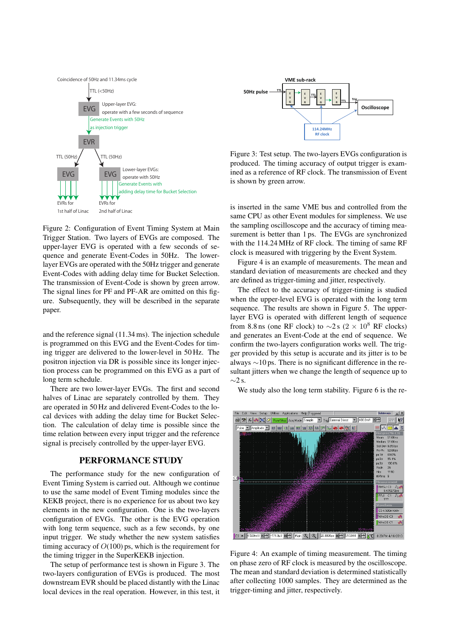

Figure 2: Configuration of Event Timing System at Main Trigger Station. Two layers of EVGs are composed. The upper-layer EVG is operated with a few seconds of sequence and generate Event-Codes in 50Hz. The lowerlayer EVGs are operated with the 50Hz trigger and generate Event-Codes with adding delay time for Bucket Selection. The transmission of Event-Code is shown by green arrow. The signal lines for PF and PF-AR are omitted on this figure. Subsequently, they will be described in the separate paper.

and the reference signal (11.34 ms). The injection schedule is programmed on this EVG and the Event-Codes for timing trigger are delivered to the lower-level in 50 Hz. The positron injection via DR is possible since its longer injection process can be programmed on this EVG as a part of long term schedule.

There are two lower-layer EVGs. The first and second halves of Linac are separately controlled by them. They are operated in 50 Hz and delivered Event-Codes to the local devices with adding the delay time for Bucket Selection. The calculation of delay time is possible since the time relation between every input trigger and the reference signal is precisely controlled by the upper-layer EVG.

## PERFORMANCE STUDY

The performance study for the new configuration of Event Timing System is carried out. Although we continue to use the same model of Event Timing modules since the KEKB project, there is no experience for us about two key elements in the new configuration. One is the two-layers configuration of EVGs. The other is the EVG operation with long term sequence, such as a few seconds, by one input trigger. We study whether the new system satisfies timing accuracy of *O*(100) ps, which is the requirement for the timing trigger in the SuperKEKB injection.

The setup of performance test is shown in Figure 3. The two-layers configuration of EVGs is produced. The most downstream EVR should be placed distantly with the Linac local devices in the real operation. However, in this test, it



Figure 3: Test setup. The two-layers EVGs configuration is produced. The timing accuracy of output trigger is examined as a reference of RF clock. The transmission of Event is shown by green arrow.

is inserted in the same VME bus and controlled from the same CPU as other Event modules for simpleness. We use the sampling oscilloscope and the accuracy of timing measurement is better than 1 ps. The EVGs are synchronized with the 114.24 MHz of RF clock. The timing of same RF clock is measured with triggering by the Event System.

Figure 4 is an example of measurements. The mean and standard deviation of measurements are checked and they are defined as trigger-timing and jitter, respectively.

The effect to the accuracy of trigger-timing is studied when the upper-level EVG is operated with the long term sequence. The results are shown in Figure 5. The upperlayer EVG is operated with different length of sequence from 8.8 ns (one RF clock) to  $\sim$ 2 s (2 × 10<sup>8</sup> RF clocks) and generates an Event-Code at the end of sequence. We confirm the two-layers configuration works well. The trigger provided by this setup is accurate and its jitter is to be always *∼*10 ps. There is no significant difference in the resultant jitters when we change the length of sequence up to *∼*2 s.

We study also the long term stability. Figure 6 is the re-



Figure 4: An example of timing measurement. The timing on phase zero of RF clock is measured by the oscilloscope. The mean and standard deviation is determined statistically after collecting 1000 samples. They are determined as the trigger-timing and jitter, respectively.